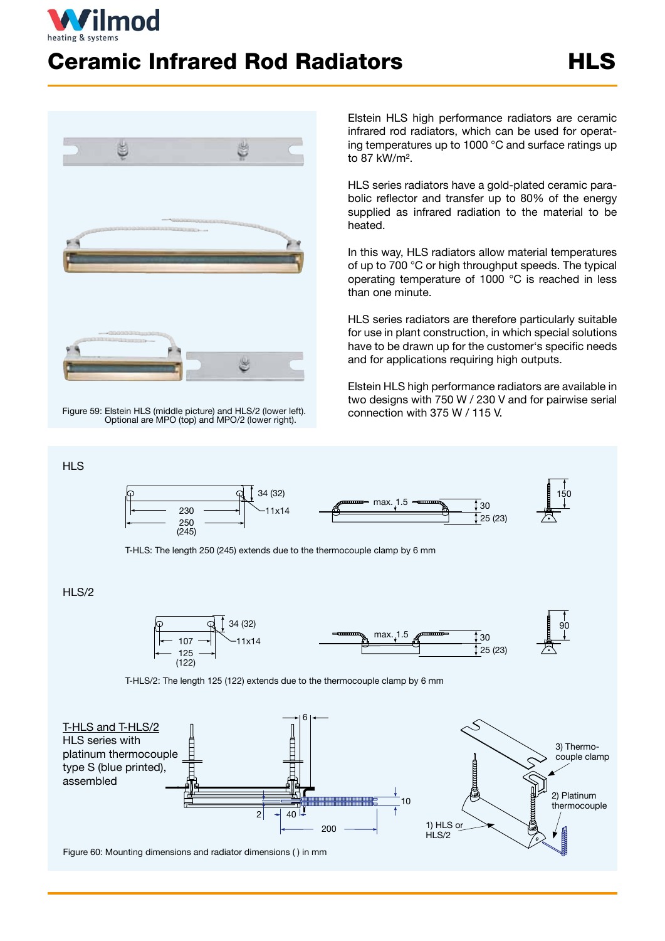

## **Ceramic Infrared Rod Radiators The HLS**



Figure 59: Elstein HLS (middle picture) and HLS/2 (lower left). Optional are MPO (top) and MPO/2 (lower right).

Elstein HLS high performance radiators are ceramic infrared rod radiators, which can be used for operating temperatures up to 1000 °C and surface ratings up to 87 kW/m².

HLS series radiators have a gold-plated ceramic parabolic reflector and transfer up to 80% of the energy supplied as infrared radiation to the material to be heated.

In this way, HLS radiators allow material temperatures of up to 700 °C or high throughput speeds. The typical operating temperature of 1000 °C is reached in less than one minute.

HLS series radiators are therefore particularly suitable for use in plant construction, in which special solutions have to be drawn up for the customer's specific needs and for applications requiring high outputs.

Elstein HLS high performance radiators are available in two designs with 750 W / 230 V and for pairwise serial connection with 375 W / 115 V.

90



T-HLS: The length 250 (245) extends due to the thermocouple clamp by 6 mm

## HLS/2

**HLS** 



T-HLS/2: The length 125 (122) extends due to the thermocouple clamp by 6 mm



Figure 60: Mounting dimensions and radiator dimensions ( ) in mm